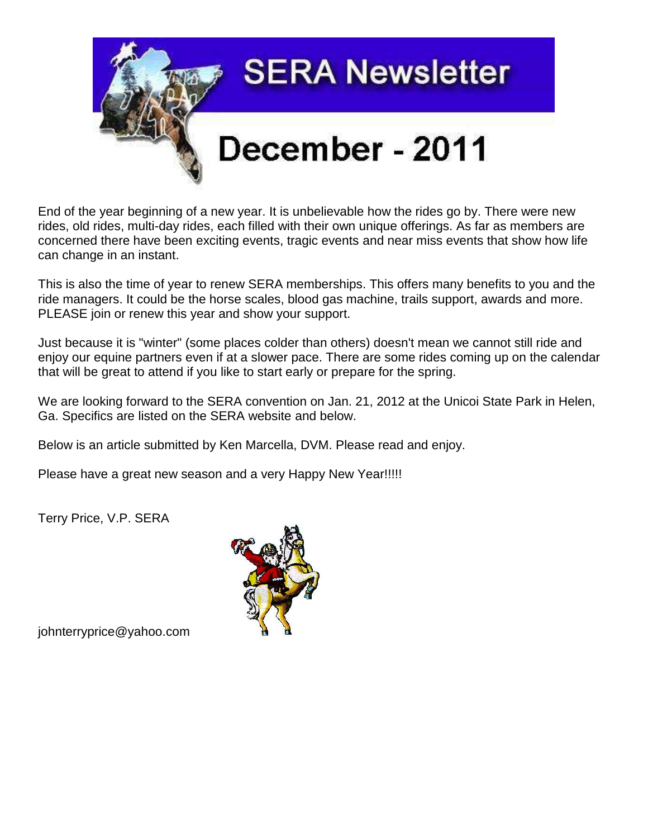

End of the year beginning of a new year. It is unbelievable how the rides go by. There were new rides, old rides, multi-day rides, each filled with their own unique offerings. As far as members are concerned there have been exciting events, tragic events and near miss events that show how life can change in an instant.

This is also the time of year to renew SERA memberships. This offers many benefits to you and the ride managers. It could be the horse scales, blood gas machine, trails support, awards and more. PLEASE join or renew this year and show your support.

Just because it is "winter" (some places colder than others) doesn't mean we cannot still ride and enjoy our equine partners even if at a slower pace. There are some rides coming up on the calendar that will be great to attend if you like to start early or prepare for the spring.

We are looking forward to the SERA convention on Jan. 21, 2012 at the Unicoi State Park in Helen, Ga. Specifics are listed on the SERA website and below.

Below is an article submitted by Ken Marcella, DVM. Please read and enjoy.

Please have a great new season and a very Happy New Year!!!!!

Terry Price, V.P. SERA



johnterryprice@yahoo.com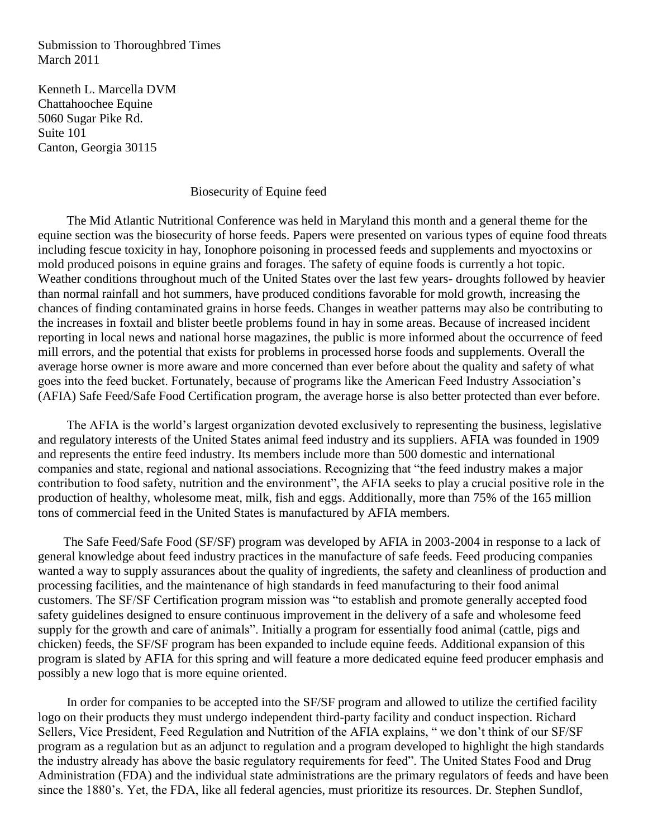Submission to Thoroughbred Times March 2011

Kenneth L. Marcella DVM Chattahoochee Equine 5060 Sugar Pike Rd. Suite 101 Canton, Georgia 30115

### Biosecurity of Equine feed

 The Mid Atlantic Nutritional Conference was held in Maryland this month and a general theme for the equine section was the biosecurity of horse feeds. Papers were presented on various types of equine food threats including fescue toxicity in hay, Ionophore poisoning in processed feeds and supplements and myoctoxins or mold produced poisons in equine grains and forages. The safety of equine foods is currently a hot topic. Weather conditions throughout much of the United States over the last few years- droughts followed by heavier than normal rainfall and hot summers, have produced conditions favorable for mold growth, increasing the chances of finding contaminated grains in horse feeds. Changes in weather patterns may also be contributing to the increases in foxtail and blister beetle problems found in hay in some areas. Because of increased incident reporting in local news and national horse magazines, the public is more informed about the occurrence of feed mill errors, and the potential that exists for problems in processed horse foods and supplements. Overall the average horse owner is more aware and more concerned than ever before about the quality and safety of what goes into the feed bucket. Fortunately, because of programs like the American Feed Industry Association's (AFIA) Safe Feed/Safe Food Certification program, the average horse is also better protected than ever before.

 The AFIA is the world's largest organization devoted exclusively to representing the business, legislative and regulatory interests of the United States animal feed industry and its suppliers. AFIA was founded in 1909 and represents the entire feed industry. Its members include more than 500 domestic and international companies and state, regional and national associations. Recognizing that "the feed industry makes a major contribution to food safety, nutrition and the environment", the AFIA seeks to play a crucial positive role in the production of healthy, wholesome meat, milk, fish and eggs. Additionally, more than 75% of the 165 million tons of commercial feed in the United States is manufactured by AFIA members.

 The Safe Feed/Safe Food (SF/SF) program was developed by AFIA in 2003-2004 in response to a lack of general knowledge about feed industry practices in the manufacture of safe feeds. Feed producing companies wanted a way to supply assurances about the quality of ingredients, the safety and cleanliness of production and processing facilities, and the maintenance of high standards in feed manufacturing to their food animal customers. The SF/SF Certification program mission was "to establish and promote generally accepted food safety guidelines designed to ensure continuous improvement in the delivery of a safe and wholesome feed supply for the growth and care of animals". Initially a program for essentially food animal (cattle, pigs and chicken) feeds, the SF/SF program has been expanded to include equine feeds. Additional expansion of this program is slated by AFIA for this spring and will feature a more dedicated equine feed producer emphasis and possibly a new logo that is more equine oriented.

 In order for companies to be accepted into the SF/SF program and allowed to utilize the certified facility logo on their products they must undergo independent third-party facility and conduct inspection. Richard Sellers, Vice President, Feed Regulation and Nutrition of the AFIA explains, " we don't think of our SF/SF program as a regulation but as an adjunct to regulation and a program developed to highlight the high standards the industry already has above the basic regulatory requirements for feed". The United States Food and Drug Administration (FDA) and the individual state administrations are the primary regulators of feeds and have been since the 1880's. Yet, the FDA, like all federal agencies, must prioritize its resources. Dr. Stephen Sundlof,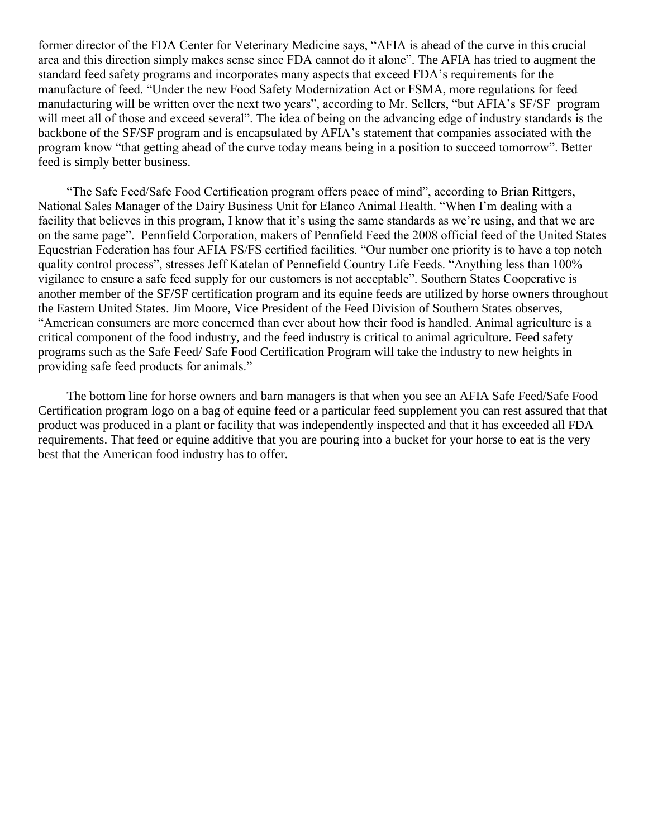former director of the FDA Center for Veterinary Medicine says, "AFIA is ahead of the curve in this crucial area and this direction simply makes sense since FDA cannot do it alone". The AFIA has tried to augment the standard feed safety programs and incorporates many aspects that exceed FDA's requirements for the manufacture of feed. "Under the new Food Safety Modernization Act or FSMA, more regulations for feed manufacturing will be written over the next two years", according to Mr. Sellers, "but AFIA's SF/SF program will meet all of those and exceed several". The idea of being on the advancing edge of industry standards is the backbone of the SF/SF program and is encapsulated by AFIA's statement that companies associated with the program know "that getting ahead of the curve today means being in a position to succeed tomorrow". Better feed is simply better business.

 "The Safe Feed/Safe Food Certification program offers peace of mind", according to Brian Rittgers, National Sales Manager of the Dairy Business Unit for Elanco Animal Health. "When I'm dealing with a facility that believes in this program, I know that it's using the same standards as we're using, and that we are on the same page". Pennfield Corporation, makers of Pennfield Feed the 2008 official feed of the United States Equestrian Federation has four AFIA FS/FS certified facilities. "Our number one priority is to have a top notch quality control process", stresses Jeff Katelan of Pennefield Country Life Feeds. "Anything less than 100% vigilance to ensure a safe feed supply for our customers is not acceptable". Southern States Cooperative is another member of the SF/SF certification program and its equine feeds are utilized by horse owners throughout the Eastern United States. Jim Moore, Vice President of the Feed Division of Southern States observes, "American consumers are more concerned than ever about how their food is handled. Animal agriculture is a critical component of the food industry, and the feed industry is critical to animal agriculture. Feed safety programs such as the Safe Feed/ Safe Food Certification Program will take the industry to new heights in providing safe feed products for animals."

 The bottom line for horse owners and barn managers is that when you see an AFIA Safe Feed/Safe Food Certification program logo on a bag of equine feed or a particular feed supplement you can rest assured that that product was produced in a plant or facility that was independently inspected and that it has exceeded all FDA requirements. That feed or equine additive that you are pouring into a bucket for your horse to eat is the very best that the American food industry has to offer.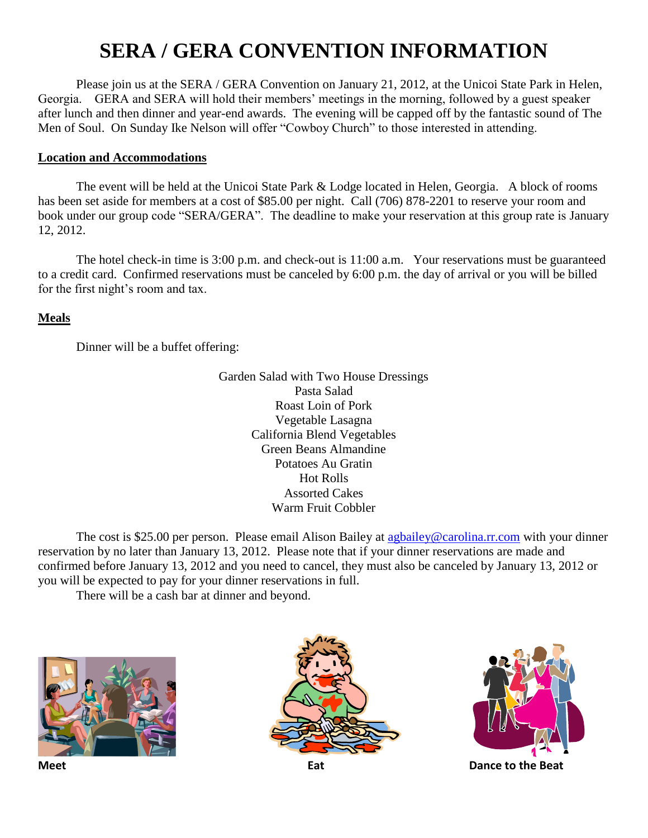# **SERA / GERA CONVENTION INFORMATION**

Please join us at the SERA / GERA Convention on January 21, 2012, at the Unicoi State Park in Helen, Georgia. GERA and SERA will hold their members' meetings in the morning, followed by a guest speaker after lunch and then dinner and year-end awards. The evening will be capped off by the fantastic sound of The Men of Soul. On Sunday Ike Nelson will offer "Cowboy Church" to those interested in attending.

## **Location and Accommodations**

The event will be held at the Unicoi State Park & Lodge located in Helen, Georgia. A block of rooms has been set aside for members at a cost of \$85.00 per night. Call (706) 878-2201 to reserve your room and book under our group code "SERA/GERA". The deadline to make your reservation at this group rate is January 12, 2012.

The hotel check-in time is 3:00 p.m. and check-out is 11:00 a.m. Your reservations must be guaranteed to a credit card. Confirmed reservations must be canceled by 6:00 p.m. the day of arrival or you will be billed for the first night's room and tax.

## **Meals**

Dinner will be a buffet offering:

Garden Salad with Two House Dressings Pasta Salad Roast Loin of Pork Vegetable Lasagna California Blend Vegetables Green Beans Almandine Potatoes Au Gratin Hot Rolls Assorted Cakes Warm Fruit Cobbler

The cost is \$25.00 per person. Please email Alison Bailey at [agbailey@carolina.rr.com](mailto:agbailey@carolina.rr.com) with your dinner reservation by no later than January 13, 2012. Please note that if your dinner reservations are made and confirmed before January 13, 2012 and you need to cancel, they must also be canceled by January 13, 2012 or you will be expected to pay for your dinner reservations in full.

There will be a cash bar at dinner and beyond.